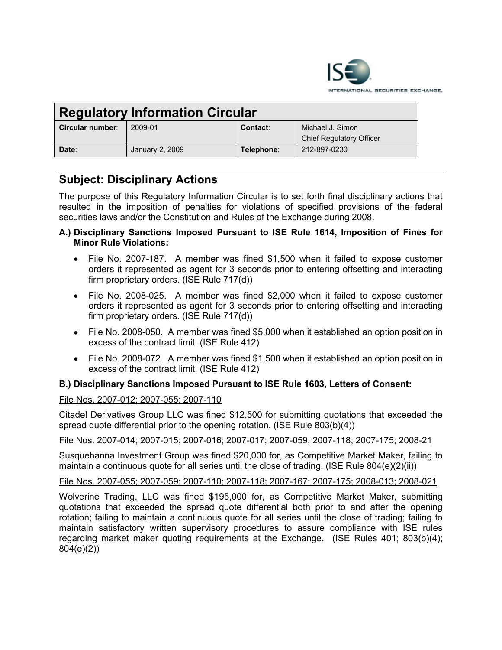

| <b>Regulatory Information Circular</b> |                 |            |                                 |
|----------------------------------------|-----------------|------------|---------------------------------|
| Circular number:                       | 2009-01         | Contact:   | Michael J. Simon                |
|                                        |                 |            | <b>Chief Regulatory Officer</b> |
| Date:                                  | January 2, 2009 | Telephone: | 212-897-0230                    |

# **Subject: Disciplinary Actions**

The purpose of this Regulatory Information Circular is to set forth final disciplinary actions that resulted in the imposition of penalties for violations of specified provisions of the federal securities laws and/or the Constitution and Rules of the Exchange during 2008.

- **A.) Disciplinary Sanctions Imposed Pursuant to ISE Rule 1614, Imposition of Fines for Minor Rule Violations:**
	- · File No. 2007-187. A member was fined \$1,500 when it failed to expose customer orders it represented as agent for 3 seconds prior to entering offsetting and interacting firm proprietary orders. (ISE Rule 717(d))
	- · File No. 2008-025. A member was fined \$2,000 when it failed to expose customer orders it represented as agent for 3 seconds prior to entering offsetting and interacting firm proprietary orders. (ISE Rule 717(d))
	- File No. 2008-050. A member was fined \$5,000 when it established an option position in excess of the contract limit. (ISE Rule 412)
	- File No. 2008-072. A member was fined \$1,500 when it established an option position in excess of the contract limit. (ISE Rule 412)

# **B.) Disciplinary Sanctions Imposed Pursuant to ISE Rule 1603, Letters of Consent:**

# File Nos. 2007-012; 2007-055; 2007-110

Citadel Derivatives Group LLC was fined \$12,500 for submitting quotations that exceeded the spread quote differential prior to the opening rotation. (ISE Rule 803(b)(4))

# File Nos. 2007-014; 2007-015; 2007-016; 2007-017; 2007-059; 2007-118; 2007-175; 2008-21

Susquehanna Investment Group was fined \$20,000 for, as Competitive Market Maker, failing to maintain a continuous quote for all series until the close of trading. (ISE Rule 804(e)(2)(ii))

# File Nos. 2007-055; 2007-059; 2007-110; 2007-118; 2007-167; 2007-175; 2008-013; 2008-021

Wolverine Trading, LLC was fined \$195,000 for, as Competitive Market Maker, submitting quotations that exceeded the spread quote differential both prior to and after the opening rotation; failing to maintain a continuous quote for all series until the close of trading; failing to maintain satisfactory written supervisory procedures to assure compliance with ISE rules regarding market maker quoting requirements at the Exchange. (ISE Rules 401; 803(b)(4); 804(e)(2))